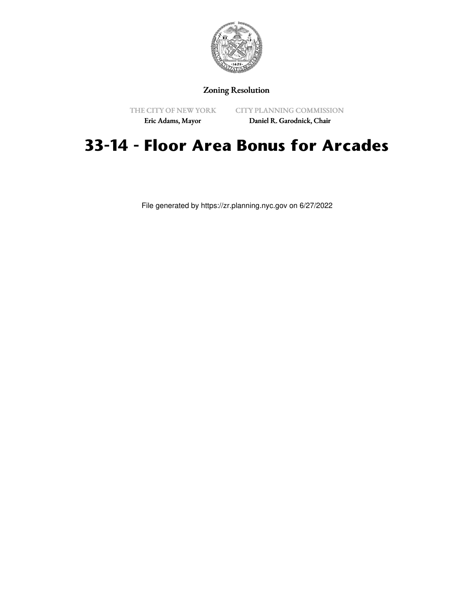

## Zoning Resolution

THE CITY OF NEW YORK

CITY PLANNING COMMISSION

Eric Adams, Mayor

Daniel R. Garodnick, Chair

# **33-14 - Floor Area Bonus for Arcades**

File generated by https://zr.planning.nyc.gov on 6/27/2022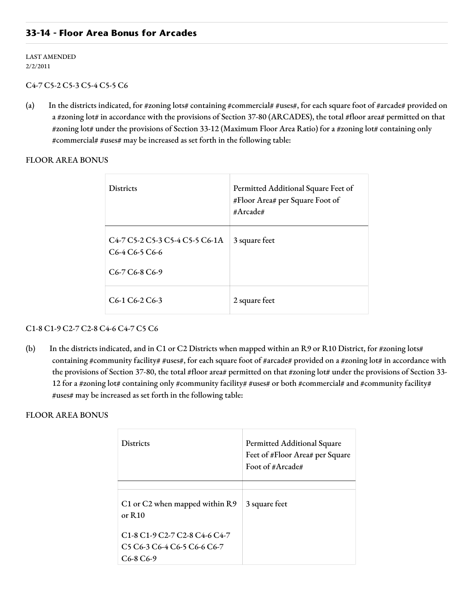## **33-14 - Floor Area Bonus for Arcades**

LAST AMENDED 2/2/2011

#### C4-7 C5-2 C5-3 C5-4 C5-5 C6

(a) In the districts indicated, for #zoning lots# containing #commercial# #uses#, for each square foot of #arcade# provided on a #zoning lot# in accordance with the provisions of Section 37-80 (ARCADES), the total #floor area# permitted on that #zoning lot# under the provisions of Section 33-12 (Maximum Floor Area Ratio) for a #zoning lot# containing only #commercial# #uses# may be increased as set forth in the following table:

FLOOR AREA BONUS

| <b>Districts</b>                                                                                                                                                                                                               | Permitted Additional Square Feet of<br>#Floor Area# per Square Foot of<br>#Arcade# |
|--------------------------------------------------------------------------------------------------------------------------------------------------------------------------------------------------------------------------------|------------------------------------------------------------------------------------|
| C <sub>4</sub> -7 C <sub>2</sub> -2 C <sub>2</sub> -3 C <sub>2</sub> -4 C <sub>2</sub> -5 C <sub>6</sub> -1A<br>C <sub>6</sub> -4 C <sub>6</sub> -5 C <sub>6</sub> -6<br>C <sub>6</sub> -7 C <sub>6</sub> -8 C <sub>6</sub> -9 | 3 square feet                                                                      |
| $C6-1 C6-2 C6-3$                                                                                                                                                                                                               | 2 square feet                                                                      |

#### C1-8 C1-9 C2-7 C2-8 C4-6 C4-7 C5 C6

(b) In the districts indicated, and in C1 or C2 Districts when mapped within an R9 or R10 District, for #zoning lots# containing #community facility# #uses#, for each square foot of #arcade# provided on a #zoning lot# in accordance with the provisions of Section 37-80, the total #floor area# permitted on that #zoning lot# under the provisions of Section 33-12 for a #zoning lot# containing only #community facility# #uses# or both #commercial# and #community facility# #uses# may be increased as set forth in the following table:

### FLOOR AREA BONUS

| <b>Districts</b>                                                                                            | <b>Permitted Additional Square</b><br>Feet of #Floor Area# per Square<br>Foot of #Arcade# |
|-------------------------------------------------------------------------------------------------------------|-------------------------------------------------------------------------------------------|
|                                                                                                             |                                                                                           |
| C1 or C2 when mapped within R9<br>or $R10$                                                                  | 3 square feet                                                                             |
| C <sub>1</sub> -8 C <sub>1</sub> -9 C <sub>2</sub> -7 C <sub>2</sub> -8 C <sub>4</sub> -6 C <sub>4</sub> -7 |                                                                                           |
| C <sub>5</sub> C <sub>6</sub> -3 C <sub>6</sub> -4 C <sub>6</sub> -5 C <sub>6</sub> -6 C <sub>6</sub> -7    |                                                                                           |
| C <sub>6</sub> -8 C <sub>6</sub> -9                                                                         |                                                                                           |